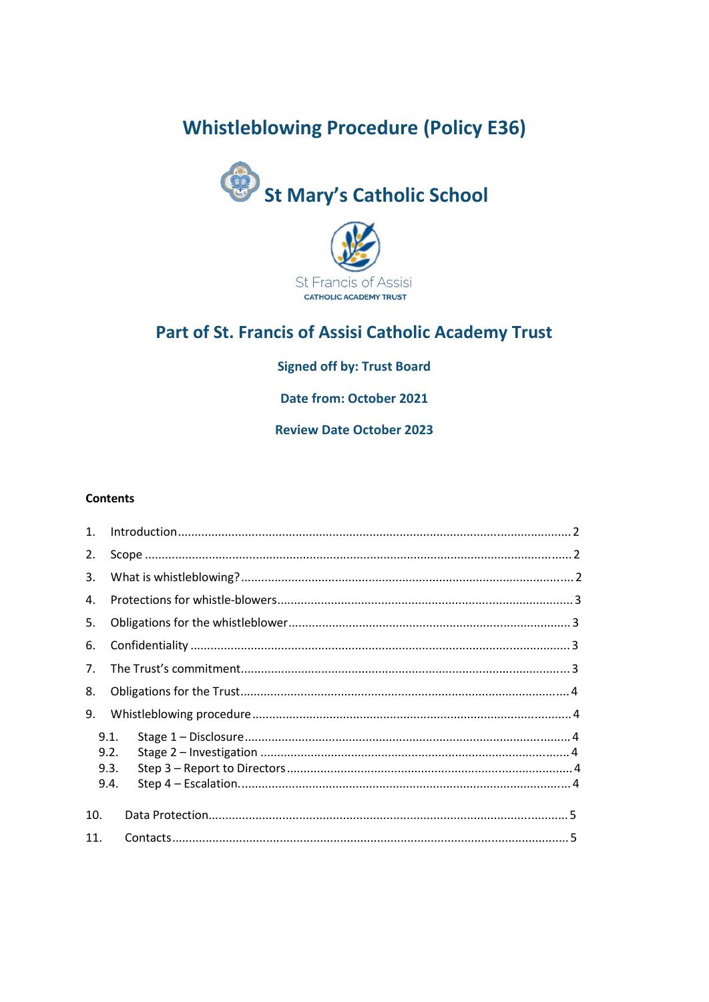# **Whistleblowing Procedure (Policy E36)**





## Part of St. Francis of Assisi Catholic Academy Trust

### **Signed off by: Trust Board**

**Date from: October 2021** 

**Review Date October 2023** 

#### **Contents**

| 1.             | Introduction 2               |  |
|----------------|------------------------------|--|
| 2.             |                              |  |
| 3.             |                              |  |
| 4.             |                              |  |
| 5.             |                              |  |
| 6.             |                              |  |
| 7 <sub>1</sub> |                              |  |
| 8.             |                              |  |
| 9.             |                              |  |
|                | 9.1.<br>9.2.<br>9.3.<br>9.4. |  |
| 10.            |                              |  |
| 11.            |                              |  |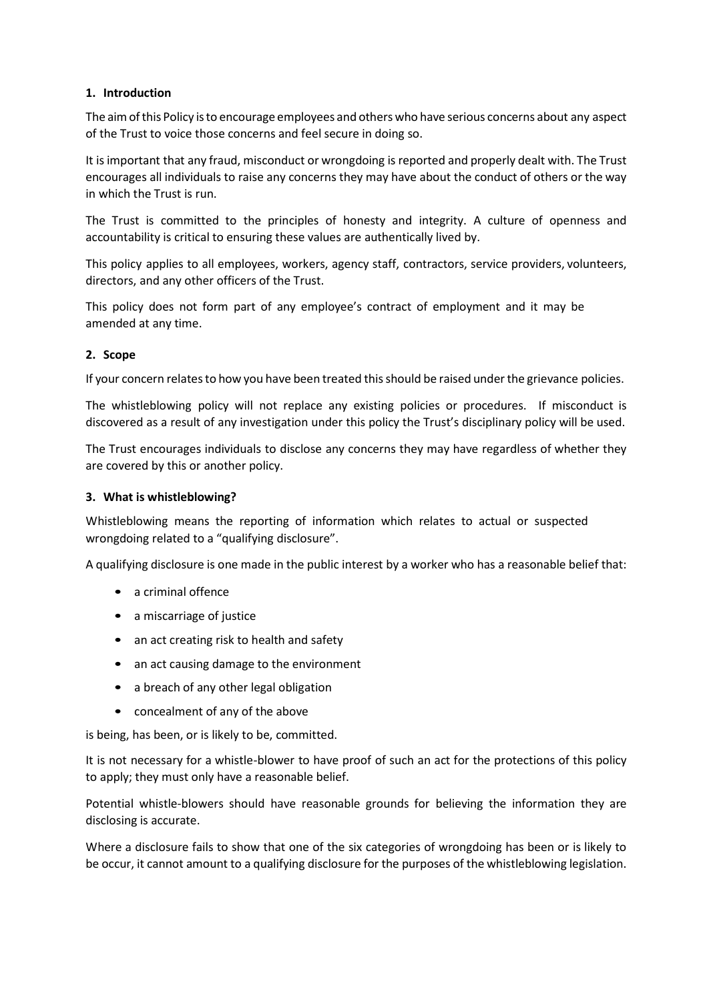#### **1. Introduction**

The aimofthis Policy isto encourage employees and others who have serious concerns about any aspect of the Trust to voice those concerns and feel secure in doing so.

It is important that any fraud, misconduct or wrongdoing is reported and properly dealt with. The Trust encourages all individuals to raise any concerns they may have about the conduct of others or the way in which the Trust is run.

The Trust is committed to the principles of honesty and integrity. A culture of openness and accountability is critical to ensuring these values are authentically lived by.

This policy applies to all employees, workers, agency staff, contractors, service providers, volunteers, directors, and any other officers of the Trust.

This policy does not form part of any employee's contract of employment and it may be amended at any time.

#### **2. Scope**

If your concern relates to how you have been treated this should be raised under the grievance policies.

The whistleblowing policy will not replace any existing policies or procedures. If misconduct is discovered as a result of any investigation under this policy the Trust's disciplinary policy will be used.

The Trust encourages individuals to disclose any concerns they may have regardless of whether they are covered by this or another policy.

#### **3. What is whistleblowing?**

Whistleblowing means the reporting of information which relates to actual or suspected wrongdoing related to a "qualifying disclosure".

A qualifying disclosure is one made in the public interest by a worker who has a reasonable belief that:

- a criminal offence
- a miscarriage of justice
- an act creating risk to health and safety
- an act causing damage to the environment
- a breach of any other legal obligation
- concealment of any of the above

is being, has been, or is likely to be, committed.

It is not necessary for a whistle-blower to have proof of such an act for the protections of this policy to apply; they must only have a reasonable belief.

Potential whistle-blowers should have reasonable grounds for believing the information they are disclosing is accurate.

Where a disclosure fails to show that one of the six categories of wrongdoing has been or is likely to be occur, it cannot amount to a qualifying disclosure for the purposes of the whistleblowing legislation.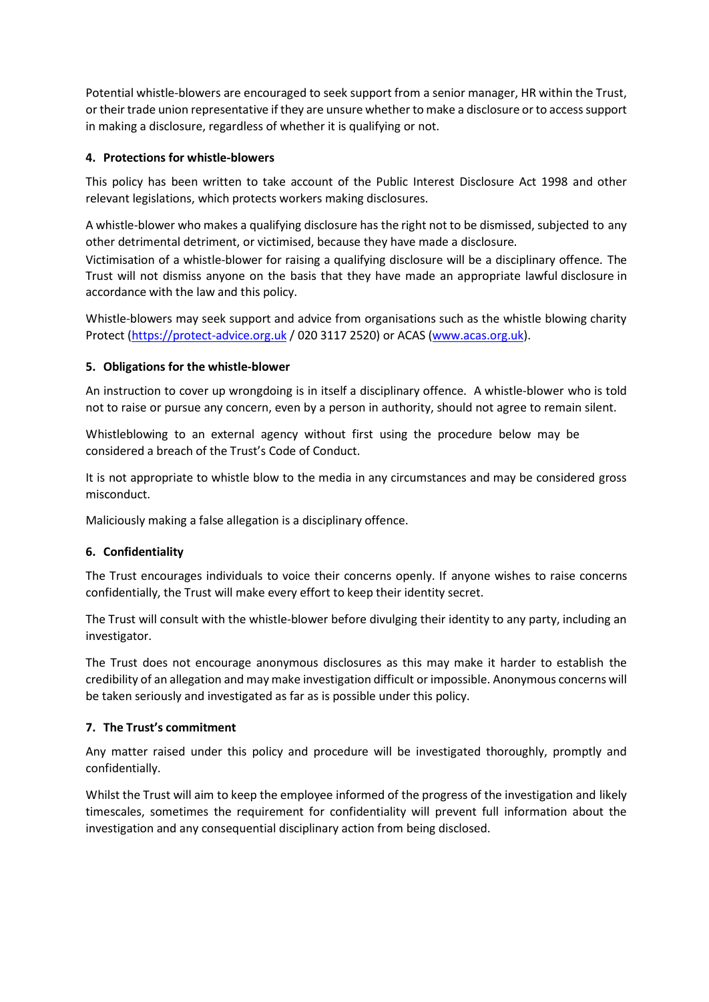Potential whistle-blowers are encouraged to seek support from a senior manager, HR within the Trust, or their trade union representative if they are unsure whether to make a disclosure or to access support in making a disclosure, regardless of whether it is qualifying or not.

#### **4. Protections for whistle-blowers**

This policy has been written to take account of the Public Interest Disclosure Act 1998 and other relevant legislations, which protects workers making disclosures.

A whistle-blower who makes a qualifying disclosure has the right not to be dismissed, subjected to any other detrimental detriment, or victimised, because they have made a disclosure.

Victimisation of a whistle-blower for raising a qualifying disclosure will be a disciplinary offence. The Trust will not dismiss anyone on the basis that they have made an appropriate lawful disclosure in accordance with the law and this policy.

Whistle-blowers may seek support and advice from organisations such as the whistle blowing charity Protect [\(https://protect-advice.org.uk](https://protect-advice.org.uk/) / 020 3117 2520) or ACAS [\(www.acas.org.uk\)](http://www.acas.org.uk/).

#### **5. Obligations for the whistle-blower**

An instruction to cover up wrongdoing is in itself a disciplinary offence. A whistle-blower who is told not to raise or pursue any concern, even by a person in authority, should not agree to remain silent.

Whistleblowing to an external agency without first using the procedure below may be considered a breach of the Trust's Code of Conduct.

It is not appropriate to whistle blow to the media in any circumstances and may be considered gross misconduct.

Maliciously making a false allegation is a disciplinary offence.

#### **6. Confidentiality**

The Trust encourages individuals to voice their concerns openly. If anyone wishes to raise concerns confidentially, the Trust will make every effort to keep their identity secret.

The Trust will consult with the whistle-blower before divulging their identity to any party, including an investigator.

The Trust does not encourage anonymous disclosures as this may make it harder to establish the credibility of an allegation and may make investigation difficult or impossible. Anonymous concerns will be taken seriously and investigated as far as is possible under this policy.

#### **7. The Trust's commitment**

Any matter raised under this policy and procedure will be investigated thoroughly, promptly and confidentially.

Whilst the Trust will aim to keep the employee informed of the progress of the investigation and likely timescales, sometimes the requirement for confidentiality will prevent full information about the investigation and any consequential disciplinary action from being disclosed.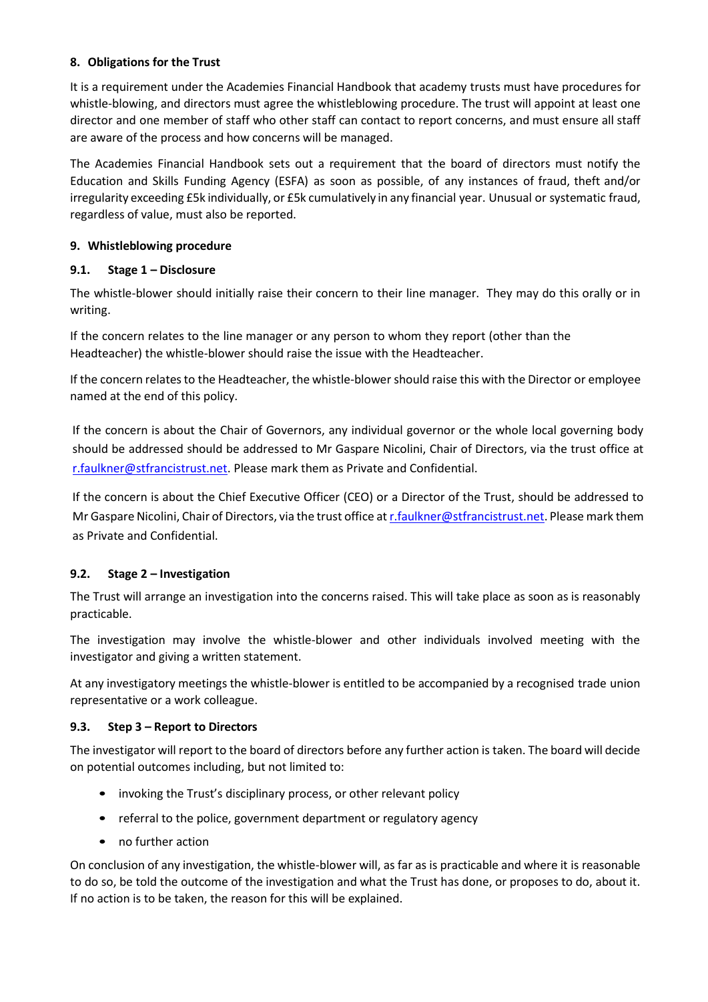#### **8. Obligations for the Trust**

It is a requirement under the Academies Financial Handbook that academy trusts must have procedures for whistle-blowing, and directors must agree the whistleblowing procedure. The trust will appoint at least one director and one member of staff who other staff can contact to report concerns, and must ensure all staff are aware of the process and how concerns will be managed.

The Academies Financial Handbook sets out a requirement that the board of directors must notify the Education and Skills Funding Agency (ESFA) as soon as possible, of any instances of fraud, theft and/or irregularity exceeding £5k individually, or £5k cumulatively in any financial year. Unusual or systematic fraud, regardless of value, must also be reported.

#### **9. Whistleblowing procedure**

#### **9.1. Stage 1 – Disclosure**

The whistle-blower should initially raise their concern to their line manager. They may do this orally or in writing.

If the concern relates to the line manager or any person to whom they report (other than the Headteacher) the whistle-blower should raise the issue with the Headteacher.

If the concern relatesto the Headteacher, the whistle-blower should raise this with the Director or employee named at the end of this policy.

If the concern is about the Chair of Governors, any individual governor or the whole local governing body should be addressed should be addressed to Mr Gaspare Nicolini, Chair of Directors, via the trust office at [r.faulkner@stfrancistrust.net.](mailto:rebeccafaulkner@stfrancistrust.net) Please mark them as Private and Confidential.

If the concern is about the Chief Executive Officer (CEO) or a Director of the Trust, should be addressed to Mr Gaspare Nicolini, Chair of Directors, via the trust office a[t r.faulkner@stfrancistrust.net.](mailto:rebeccafaulkner@stfrancistrust.net) Please mark them as Private and Confidential.

#### **9.2. Stage 2 – Investigation**

The Trust will arrange an investigation into the concerns raised. This will take place as soon as is reasonably practicable.

The investigation may involve the whistle-blower and other individuals involved meeting with the investigator and giving a written statement.

At any investigatory meetings the whistle-blower is entitled to be accompanied by a recognised trade union representative or a work colleague.

#### **9.3. Step 3 – Report to Directors**

The investigator will report to the board of directors before any further action is taken. The board will decide on potential outcomes including, but not limited to:

- invoking the Trust's disciplinary process, or other relevant policy
- referral to the police, government department or regulatory agency
- no further action

On conclusion of any investigation, the whistle-blower will, as far as is practicable and where it is reasonable to do so, be told the outcome of the investigation and what the Trust has done, or proposes to do, about it. If no action is to be taken, the reason for this will be explained.